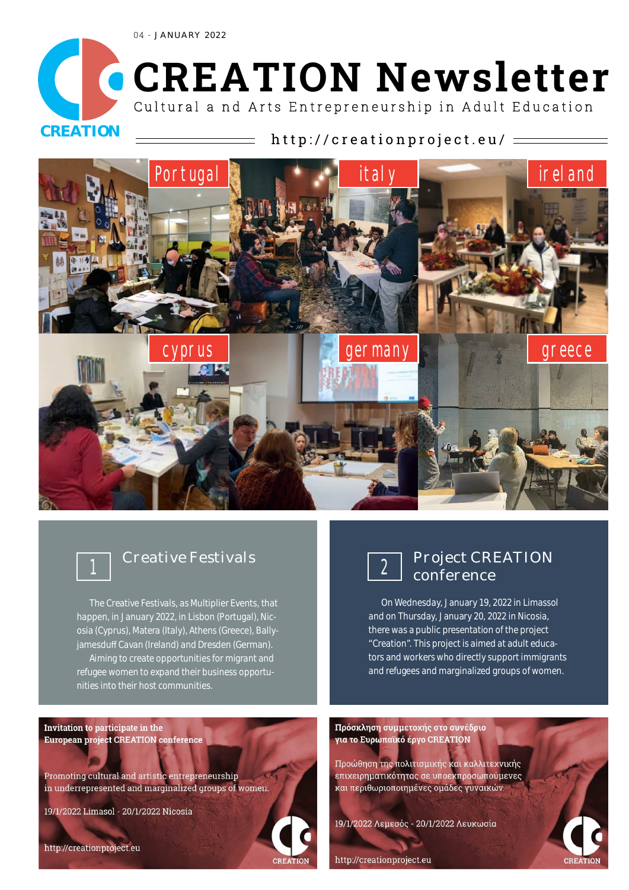04 - JANUARY 2022



# **CREATION Newsletter** Cultural a nd Arts Entrepreneurship in Adult Education

## CREATION  $\longrightarrow$  http://creationproject.eu/ =



### Creative Festivals **1**

The Creative Festivals, as Multiplier Events, that happen, in January 2022, in Lisbon (Portugal), Nicosia (Cyprus), Matera (Italy), Athens (Greece), Ballyjamesduff Cavan (Ireland) and Dresden (German). Aiming to create opportunities for migrant and refugee women to expand their business opportunities into their host communities.

Invitation to participate in the European project CREATION conference

Promoting cultural and artistic entrepreneurship in underrepresented and marginalized groups of women.

19/1/2022 Limasol - 20/1/2022 Nicosia



### Project CREATION 2 Project CRI<br>conference

On Wednesday, January 19, 2022 in Limassol and on Thursday, January 20, 2022 in Nicosia, there was a public presentation of the project "Creation". This project is aimed at adult educators and workers who directly support immigrants and refugees and marginalized groups of women.

Πρόσκληση συμμετοχής στο συνέδριο για το Ευρωπαϊκό έργο CREATION

Προώθηση της πολιτισμικής και καλλιτεχνικής επιχειρηματικότητας σε υποεκπροσωπούμενες και περιθωριοποιημένες ομάδες γυναικών.

19/1/2022 Λεμεσός - 20/1/2022 Λευκωσία



http://creationproject.eu